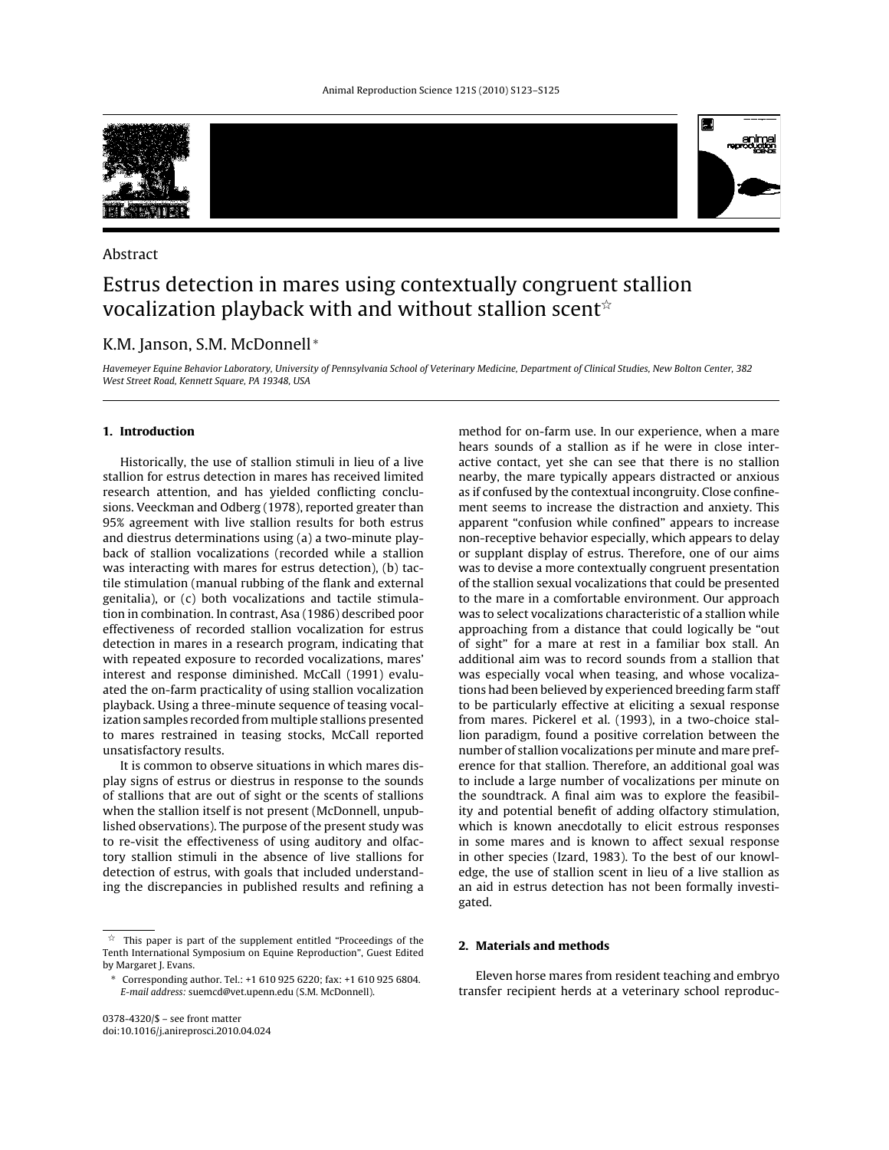

## Abstract

# Estrus detection in mares using contextually congruent stallion vocalization playback with and without stallion scent $^{\star}$

# K.M. Janson, S.M. McDonnell <sup>∗</sup>

Havemeyer Equine Behavior Laboratory, University of Pennsylvania School of Veterinary Medicine, Department of Clinical Studies, New Bolton Center, 382 West Street Road, Kennett Square, PA 19348, USA

### **1. Introduction**

Historically, the use of stallion stimuli in lieu of a live stallion for estrus detection in mares has received limited research attention, and has yielded conflicting conclusions. Veeckman and Odberg (1978), reported greater than 95% agreement with live stallion results for both estrus and diestrus determinations using (a) a two-minute playback of stallion vocalizations (recorded while a stallion was interacting with mares for estrus detection), (b) tactile stimulation (manual rubbing of the flank and external genitalia), or (c) both vocalizations and tactile stimulation in combination. In contrast, Asa (1986) described poor effectiveness of recorded stallion vocalization for estrus detection in mares in a research program, indicating that with repeated exposure to recorded vocalizations, mares' interest and response diminished. McCall (1991) evaluated the on-farm practicality of using stallion vocalization playback. Using a three-minute sequence of teasing vocalization samples recorded from multiple stallions presented to mares restrained in teasing stocks, McCall reported unsatisfactory results.

It is common to observe situations in which mares display signs of estrus or diestrus in response to the sounds of stallions that are out of sight or the scents of stallions when the stallion itself is not present (McDonnell, unpublished observations). The purpose of the present study was to re-visit the effectiveness of using auditory and olfactory stallion stimuli in the absence of live stallions for detection of estrus, with goals that included understanding the discrepancies in published results and refining a method for on-farm use. In our experience, when a mare hears sounds of a stallion as if he were in close interactive contact, yet she can see that there is no stallion nearby, the mare typically appears distracted or anxious as if confused by the contextual incongruity. Close confinement seems to increase the distraction and anxiety. This apparent "confusion while confined" appears to increase non-receptive behavior especially, which appears to delay or supplant display of estrus. Therefore, one of our aims was to devise a more contextually congruent presentation of the stallion sexual vocalizations that could be presented to the mare in a comfortable environment. Our approach was to select vocalizations characteristic of a stallion while approaching from a distance that could logically be "out of sight" for a mare at rest in a familiar box stall. An additional aim was to record sounds from a stallion that was especially vocal when teasing, and whose vocalizations had been believed by experienced breeding farm staff to be particularly effective at eliciting a sexual response from mares. Pickerel et al. (1993), in a two-choice stallion paradigm, found a positive correlation between the number of stallion vocalizations per minute and mare preference for that stallion. Therefore, an additional goal was to include a large number of vocalizations per minute on the soundtrack. A final aim was to explore the feasibility and potential benefit of adding olfactory stimulation, which is known anecdotally to elicit estrous responses in some mares and is known to affect sexual response in other species (Izard, 1983). To the best of our knowledge, the use of stallion scent in lieu of a live stallion as an aid in estrus detection has not been formally investigated.

#### **2. Materials and methods**

Eleven horse mares from resident teaching and embryo transfer recipient herds at a veterinary school reproduc-

 $\overrightarrow{x}$  This paper is part of the supplement entitled "Proceedings of the Tenth International Symposium on Equine Reproduction", Guest Edited by Margaret J. Evans.

<sup>∗</sup> Corresponding author. Tel.: +1 610 925 6220; fax: +1 610 925 6804. E-mail address: suemcd@vet.upenn.edu (S.M. McDonnell).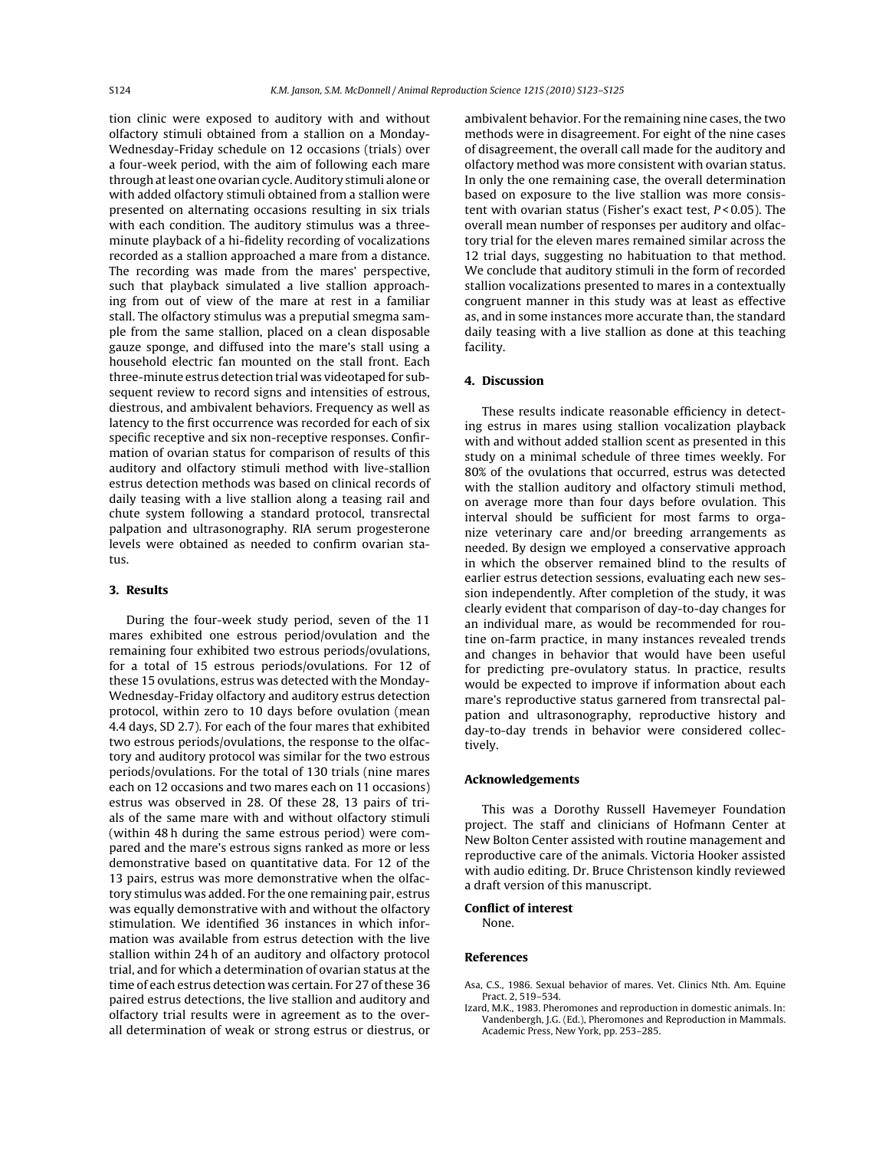tion clinic were exposed to auditory with and without olfactory stimuli obtained from a stallion on a Monday-Wednesday-Friday schedule on 12 occasions (trials) over a four-week period, with the aim of following each mare through at least one ovarian cycle. Auditory stimuli alone or with added olfactory stimuli obtained from a stallion were presented on alternating occasions resulting in six trials with each condition. The auditory stimulus was a threeminute playback of a hi-fidelity recording of vocalizations recorded as a stallion approached a mare from a distance. The recording was made from the mares' perspective, such that playback simulated a live stallion approaching from out of view of the mare at rest in a familiar stall. The olfactory stimulus was a preputial smegma sample from the same stallion, placed on a clean disposable gauze sponge, and diffused into the mare's stall using a household electric fan mounted on the stall front. Each three-minute estrus detection trial was videotaped for subsequent review to record signs and intensities of estrous, diestrous, and ambivalent behaviors. Frequency as well as latency to the first occurrence was recorded for each of six specific receptive and six non-receptive responses. Confirmation of ovarian status for comparison of results of this auditory and olfactory stimuli method with live-stallion estrus detection methods was based on clinical records of daily teasing with a live stallion along a teasing rail and chute system following a standard protocol, transrectal palpation and ultrasonography. RIA serum progesterone levels were obtained as needed to confirm ovarian status.

## **3. Results**

During the four-week study period, seven of the 11 mares exhibited one estrous period/ovulation and the remaining four exhibited two estrous periods/ovulations, for a total of 15 estrous periods/ovulations. For 12 of these 15 ovulations, estrus was detected with the Monday-Wednesday-Friday olfactory and auditory estrus detection protocol, within zero to 10 days before ovulation (mean 4.4 days, SD 2.7). For each of the four mares that exhibited two estrous periods/ovulations, the response to the olfactory and auditory protocol was similar for the two estrous periods/ovulations. For the total of 130 trials (nine mares each on 12 occasions and two mares each on 11 occasions) estrus was observed in 28. Of these 28, 13 pairs of trials of the same mare with and without olfactory stimuli (within 48 h during the same estrous period) were compared and the mare's estrous signs ranked as more or less demonstrative based on quantitative data. For 12 of the 13 pairs, estrus was more demonstrative when the olfactory stimulus was added. For the one remaining pair, estrus was equally demonstrative with and without the olfactory stimulation. We identified 36 instances in which information was available from estrus detection with the live stallion within 24 h of an auditory and olfactory protocol trial, and for which a determination of ovarian status at the time of each estrus detection was certain. For 27 of these 36 paired estrus detections, the live stallion and auditory and olfactory trial results were in agreement as to the overall determination of weak or strong estrus or diestrus, or ambivalent behavior. For the remaining nine cases, the two methods were in disagreement. For eight of the nine cases of disagreement, the overall call made for the auditory and olfactory method was more consistent with ovarian status. In only the one remaining case, the overall determination based on exposure to the live stallion was more consistent with ovarian status (Fisher's exact test,  $P < 0.05$ ). The overall mean number of responses per auditory and olfactory trial for the eleven mares remained similar across the 12 trial days, suggesting no habituation to that method. We conclude that auditory stimuli in the form of recorded stallion vocalizations presented to mares in a contextually congruent manner in this study was at least as effective as, and in some instances more accurate than, the standard daily teasing with a live stallion as done at this teaching facility.

## **4. Discussion**

These results indicate reasonable efficiency in detecting estrus in mares using stallion vocalization playback with and without added stallion scent as presented in this study on a minimal schedule of three times weekly. For 80% of the ovulations that occurred, estrus was detected with the stallion auditory and olfactory stimuli method, on average more than four days before ovulation. This interval should be sufficient for most farms to organize veterinary care and/or breeding arrangements as needed. By design we employed a conservative approach in which the observer remained blind to the results of earlier estrus detection sessions, evaluating each new session independently. After completion of the study, it was clearly evident that comparison of day-to-day changes for an individual mare, as would be recommended for routine on-farm practice, in many instances revealed trends and changes in behavior that would have been useful for predicting pre-ovulatory status. In practice, results would be expected to improve if information about each mare's reproductive status garnered from transrectal palpation and ultrasonography, reproductive history and day-to-day trends in behavior were considered collectively.

#### **Acknowledgements**

This was a Dorothy Russell Havemeyer Foundation project. The staff and clinicians of Hofmann Center at New Bolton Center assisted with routine management and reproductive care of the animals. Victoria Hooker assisted with audio editing. Dr. Bruce Christenson kindly reviewed a draft version of this manuscript.

## **Conflict of interest**

None.

#### **References**

- Asa, C.S., 1986. Sexual behavior of mares. Vet. Clinics Nth. Am. Equine Pract. 2, 519–534.
- Izard, M.K., 1983. Pheromones and reproduction in domestic animals. In: Vandenbergh, J.G. (Ed.), Pheromones and Reproduction in Mammals. Academic Press, New York, pp. 253–285.